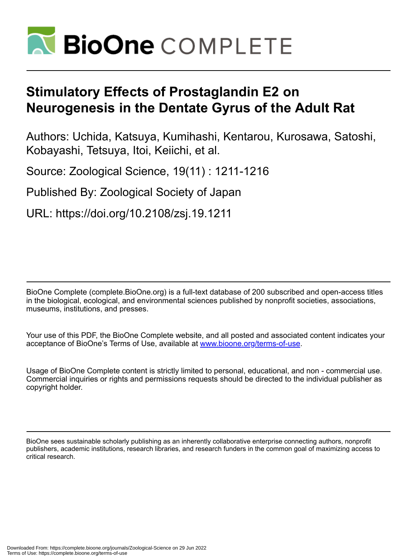

# **Stimulatory Effects of Prostaglandin E2 on Neurogenesis in the Dentate Gyrus of the Adult Rat**

Authors: Uchida, Katsuya, Kumihashi, Kentarou, Kurosawa, Satoshi, Kobayashi, Tetsuya, Itoi, Keiichi, et al.

Source: Zoological Science, 19(11) : 1211-1216

Published By: Zoological Society of Japan

URL: https://doi.org/10.2108/zsj.19.1211

BioOne Complete (complete.BioOne.org) is a full-text database of 200 subscribed and open-access titles in the biological, ecological, and environmental sciences published by nonprofit societies, associations, museums, institutions, and presses.

Your use of this PDF, the BioOne Complete website, and all posted and associated content indicates your acceptance of BioOne's Terms of Use, available at www.bioone.org/terms-of-use.

Usage of BioOne Complete content is strictly limited to personal, educational, and non - commercial use. Commercial inquiries or rights and permissions requests should be directed to the individual publisher as copyright holder.

BioOne sees sustainable scholarly publishing as an inherently collaborative enterprise connecting authors, nonprofit publishers, academic institutions, research libraries, and research funders in the common goal of maximizing access to critical research.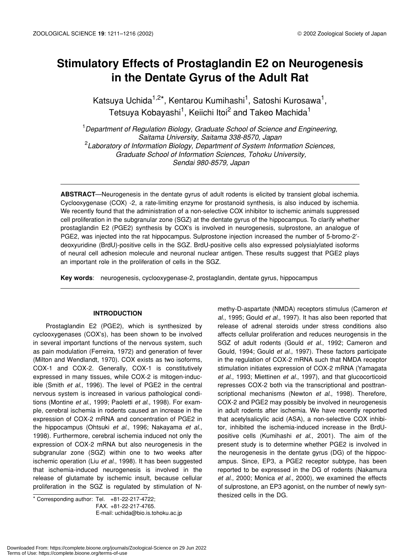# **Stimulatory Effects of Prostaglandin E2 on Neurogenesis in the Dentate Gyrus of the Adult Rat**

Katsuya Uchida<sup>1,2\*</sup>, Kentarou Kumihashi<sup>1</sup>, Satoshi Kurosawa<sup>1</sup>, Tetsuya Kobayashi<sup>1</sup>, Keiichi Itoi<sup>2</sup> and Takeo Machida<sup>1</sup>

1 *Department of Regulation Biology, Graduate School of Science and Engineering, Saitama University, Saitama 338-8570, Japan* 2 *Laboratory of Information Biology, Department of System Information Sciences, Graduate School of Information Sciences, Tohoku University, Sendai 980-8579, Japan*

**ABSTRACT**—Neurogenesis in the dentate gyrus of adult rodents is elicited by transient global ischemia. Cyclooxygenase (COX) -2, a rate-limiting enzyme for prostanoid synthesis, is also induced by ischemia. We recently found that the administration of a non-selective COX inhibitor to ischemic animals suppressed cell proliferation in the subgranular zone (SGZ) at the dentate gyrus of the hippocampus. To clarify whether prostaglandin E2 (PGE2) synthesis by COX's is involved in neurogenesis, sulprostone, an analogue of PGE2, was injected into the rat hippocampus. Sulprostone injection increased the number of 5-bromo-2' deoxyuridine (BrdU)-positive cells in the SGZ. BrdU-positive cells also expressed polysialylated isoforms of neural cell adhesion molecule and neuronal nuclear antigen. These results suggest that PGE2 plays an important role in the proliferation of cells in the SGZ.

**Key words**: neurogenesis, cyclooxygenase-2, prostaglandin, dentate gyrus, hippocampus

# **INTRODUCTION**

Prostaglandin E2 (PGE2), which is synthesized by cyclooxygenases (COX's), has been shown to be involved in several important functions of the nervous system, such as pain modulation (Ferreira, 1972) and generation of fever (Milton and Wendlandt, 1970). COX exists as two isoforms, COX-1 and COX-2. Generally, COX-1 is constitutively expressed in many tissues, while COX-2 is mitogen-inducible (Smith *et al*., 1996). The level of PGE2 in the central nervous system is increased in various pathological conditions (Montine *et al*., 1999; Paoletti *et al*., 1998). For example, cerebral ischemia in rodents caused an increase in the expression of COX-2 mRNA and concentration of PGE2 in the hippocampus (Ohtsuki *et al*., 1996; Nakayama *et al*., 1998). Furthermore, cerebral ischemia induced not only the expression of COX-2 mRNA but also neurogenesis in the subgranular zone (SGZ) within one to two weeks after ischemic operation (Liu *et al*., 1998). It has been suggested that ischemia-induced neurogenesis is involved in the release of glutamate by ischemic insult, because cellular proliferation in the SGZ is regulated by stimulation of N-

\* Corresponding author: Tel. +81-22-217-4722;<br>\* Corresponding author: Tel. +81-22-217-4722;

methy-D-aspartate (NMDA) receptors stimulus (Cameron *et al*., 1995; Gould *et al*., 1997). It has also been reported that release of adrenal steroids under stress conditions also affects cellular proliferation and reduces neurogensis in the SGZ of adult rodents (Gould *et al*., 1992; Cameron and Gould, 1994; Gould *et al*., 1997). These factors participate in the regulation of COX-2 mRNA such that NMDA receptor stimulation initiates expression of COX-2 mRNA (Yamagata *et al*., 1993; Miettinen *et al*., 1997), and that glucocorticoid represses COX-2 both via the transcriptional and posttranscriptional mechanisms (Newton *et al*., 1998). Therefore, COX-2 and PGE2 may possibly be involved in neurogenesis in adult rodents after ischemia. We have recently reported that acetylsalicylic acid (ASA), a non-selective COX inhibitor, inhibited the ischemia-induced increase in the BrdUpositive cells (Kumihashi *et al*., 2001). The aim of the present study is to determine whether PGE2 is involved in the neurogenesis in the dentate gyrus (DG) of the hippocampus. Since, EP3, a PGE2 receptor subtype, has been reported to be expressed in the DG of rodents (Nakamura *et al*., 2000; Monica *et al*., 2000), we examined the effects of sulprostone, an EP3 agonist, on the number of newly syn-

FAX. +81-22-217-4765. E-mail: uchida@bio.is.tohoku.ac.jp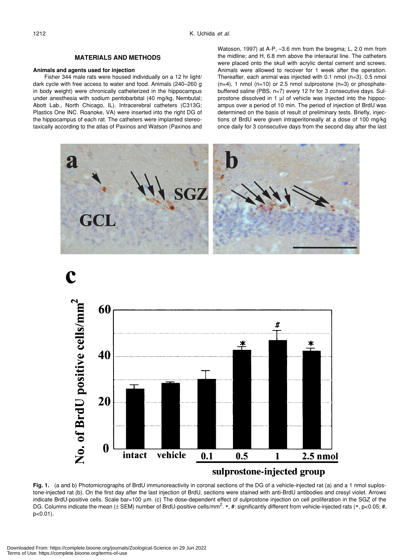# **MATERIALS AND METHODS**

## **Animals and agents used for injection**

Fisher 344 male rats were housed individually on a 12 hr light/ dark cycle with free access to water and food. Animals (240–260 g in body weight) were chronically catheterized in the hippocampus under anesthesia with sodium pentobarbital (40 mg/kg, Nembutal; Abott Lab., North Chicago, IL). Intracerebral catheters (C313G; Plastics One INC. Roanoke, VA) were inserted into the right DG of the hippocampus of each rat. The catheters were implanted stereotaxically according to the atlas of Paxinos and Watson (Paxinos and Watoson, 1997) at A-P, –3.6 mm from the bregma; L, 2.0 mm from the midline; and H, 6.8 mm above the interaural line. The catheters were placed onto the skull with acrylic dental cement and screws. Animals were allowed to recover for 1 week after the operation. Thereafter, each animal was injected with 0.1 nmol (n=3), 0.5 nmol  $(n=4)$ , 1 nmol  $(n=10)$  or 2.5 nmol sulprostone  $(n=3)$  or phosphatebuffered saline (PBS, n=7) every 12 hr for 3 consecutive days. Sulprostone dissolved in 1 µl of vehicle was injected into the hippocampus over a period of 10 min. The period of injection of BrdU was determined on the basis of result of preliminary tests. Briefly, injections of BrdU were given intraperitoneally at a dose of 100 mg/kg once daily for 3 consecutive days from the second day after the last



**Fig. 1.** (a and b) Photomicrographs of BrdU immunoreactivity in coronal sections of the DG of a vehicle-injected rat (a) and a 1 nmol suplostone-injected rat (b). On the first day after the last injection of BrdU, sections were stained with anti-BrdU antibodies and cresyl violet. Arrows indicate BrdU-positive cells. Scale bar=100 µm. (c) The dose-dependent effect of sulprostone injection on cell proliferation in the SGZ of the DG. Columns indicate the mean (± SEM) number of BrdU-positive cells/mm<sup>2</sup>. \*, #: significantly different from vehicle-injected rats (\*, p<0.05; #, p<0.01).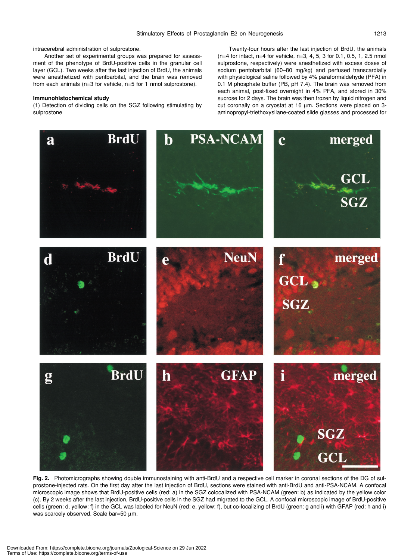intracerebral administration of sulprostone.

Another set of experimental groups was prepared for assessment of the phenotype of BrdU-positive cells in the granular cell layer (GCL). Two weeks after the last injection of BrdU, the animals were anesthetized with pentbarbital, and the brain was removed from each animals (n=3 for vehicle, n=5 for 1 nmol sulprostone).

#### **Immunohistochemical study**

(1) Detection of dividing cells on the SGZ following stimulating by sulprostone

Twenty-four hours after the last injection of BrdU, the animals  $(n=4$  for intact, n=4 for vehicle, n=3, 4, 5, 3 for 0.1, 0.5, 1, 2.5 nmol sulprostone, respectively) were anesthetized with excess doses of sodium pentobarbital (60–80 mg/kg) and perfused transcardially with physiological saline followed by 4% paraformaldehyde (PFA) in 0.1 M phosphate buffer (PB, pH 7.4). The brain was removed from each animal, post-fixed overnight in 4% PFA, and stored in 30% sucrose for 2 days. The brain was then frozen by liquid nitrogen and cut coronally on a cryostat at 16 µm. Sections were placed on 3 aminopropyl-triethoxysilane-coated slide glasses and processed for



**Fig. 2.** Photomicrographs showing double immunostaining with anti-BrdU and a respective cell marker in coronal sections of the DG of sulprostone-injected rats. On the first day after the last injection of BrdU, sections were stained with anti-BrdU and anti-PSA-NCAM. A confocal microscopic image shows that BrdU-positive cells (red: a) in the SGZ colocalized with PSA-NCAM (green: b) as indicated by the yellow color (c). By 2 weeks after the last injection, BrdU-positive cells in the SGZ had migrated to the GCL. A confocal microscopic image of BrdU-positive cells (green: d, yellow: f) in the GCL was labeled for NeuN (red: e, yellow: f), but co-localizing of BrdU (green: g and i) with GFAP (red: h and i) was scarcely observed. Scale bar=50  $\mu$ m.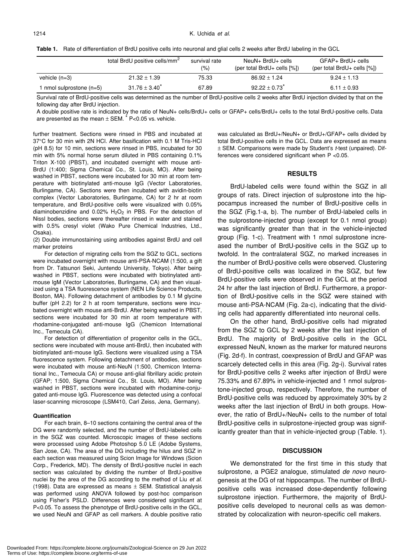**Table 1.** Rate of differentiation of BrdU positive cells into neuronal and glial cells 2 weeks after BrdU labeling in the GCL

|                        | total BrdU positive cells/mm <sup>2</sup> | survival rate<br>(%) | NeuN+ BrdU+ cells<br>(per total BrdU+ cells $[%]$ ) | $GFAP + BrdU +$ cells<br>(per total BrdU+ cells $[%]$ ) |
|------------------------|-------------------------------------------|----------------------|-----------------------------------------------------|---------------------------------------------------------|
| vehicle $(n=3)$        | $21.32 \pm 1.39$                          | 75.33                | $86.92 \pm 1.24$                                    | $9.24 \pm 1.13$                                         |
| nmol sulprostone (n=5) | $31.76 \pm 3.40^*$                        | 67.89                | $92.22 \pm 0.73$                                    | $6.11 \pm 0.93$                                         |

Survival rate of BrdU-positive cells was determined as the number of BrdU-positive cells 2 weeks after BrdU injection divided by that on the following day after BrdU injection.

A double positive rate is indicated by the ratio of NeuN+ cells/BrdU+ cells or GFAP+ cells/BrdU+ cells to the total BrdU-positive cells. Data are presented as the mean  $\pm$  SEM.  $*$  P<0.05 vs. vehicle.

further treatment. Sections were rinsed in PBS and incubated at 37°C for 30 min with 2N HCl. After basification with 0.1 M Tris-HCl (pH 8.5) for 10 min, sections were rinsed in PBS, incubated for 30 min with 5% normal horse serum diluted in PBS containing 0.1% Triton X-100 (PBST), and incubated overnight with mouse anti-BrdU (1:400; Sigma Chemical Co., St. Louis, MO). After being washed in PBST, sections were incubated for 30 min at room temperature with biotinylated anti-mouse IgG (Vector Laboratories, Burlingame, CA). Sections were then incubated with avidin-biotin complex (Vector Laboratories, Burlingame, CA) for 2 hr at room temperature, and BrdU-positive cells were visualized with 0.05% diaminobenzidine and 0.02%  $H<sub>2</sub>O<sub>2</sub>$  in PBS. For the detection of Nissl bodies, sections were thereafter rinsed in water and stained with 0.5% cresyl violet (Wako Pure Chemical Industries, Ltd., Osaka).

(2) Double immunostaining using antibodies against BrdU and cell marker proteins

For detection of migrating cells from the SGZ to GCL, sections were incubated overnight with mouse anti-PSA-NCAM (1:500, a gift from Dr. Tatsunori Seki, Juntendo University, Tokyo). After being washed in PBST, sections were incubated with biotinylated antimouse IgM (Vector Laboratories, Burlingame, CA) and then visualized using a TSA fluorescence system (NEN Life Science Products, Boston, MA). Following detachment of antibodies by 0.1 M glycine buffer (pH 2.2) for 2 h at room temperature, sections were incubated overnight with mouse anti-BrdU. After being washed in PBST, sections were incubated for 30 min at room temperature with rhodamine-conjugated anti-mouse IgG (Chemicon International Inc., Temecula CA).

For detection of differentiation of progenitor cells in the GCL, sections were incubated with mouse anti-BrdU, then incubated with biotinylated anti-mouse IgG. Sections were visualized using a TSA fluorescence system. Following detachment of antibodies, sections were incubated with mouse anti-NeuN (1:500, Chemicon International Inc., Temecula CA) or mouse anti-glial fibrillary acidic protein (GFAP; 1:500, Sigma Chemical Co., St. Louis, MO). After being washed in PBST, sections were incubated with rhodamine-conjugated anti-mouse IgG. Fluorescence was detected using a confocal laser-scanning microscope (LSM410, Carl Zeiss, Jena, Germany).

#### **Quantification**

For each brain, 8–10 sections containing the central area of the DG were randomly selected, and the number of BrdU-labeled cells in the SGZ was counted. Microscopic images of these sections were processed using Adobe Photoshop 5.0 LE (Adobe Systems, San Jose, CA). The area of the DG including the hilus and SGZ in each section was measured using Scion Image for Windows (Scion Corp., Frederick, MD). The density of BrdU-positive nuclei in each section was calculated by dividing the number of BrdU-positive nuclei by the area of the DG according to the method of Liu *et al*. (1998). Data are expressed as means  $\pm$  SEM. Statistical analysis was performed using ANOVA followed by post-hoc comparison using Fisher's PSLD. Differences were considered significant at P<0.05. To assess the phenotype of BrdU-positive cells in the GCL, we used NeuN and GFAP as cell markers. A double positive ratio was calculated as BrdU+/NeuN+ or BrdU+/GFAP+ cells divided by total BrdU-positive cells in the GCL. Data are expressed as means ± SEM. Comparisons were made by Student's *t*-test (unpaired). Differences were considered significant when P <0.05.

# **RESULTS**

BrdU-labeled cells were found within the SGZ in all groups of rats. Direct injection of sulprostone into the hippocampus increased the number of BrdU-positive cells in the SGZ (Fig.1-a, b). The number of BrdU-labeled cells in the sulprostone-injected group (except for 0.1 nmol group) was significantly greater than that in the vehicle-injected group (Fig. 1-c). Treatment with 1 nmol sulprostone increased the number of BrdU-positive cells in the SGZ up to twofold. In the contralateral SGZ, no marked increases in the number of BrdU-positive cells were observed. Clustering of BrdU-positive cells was localized in the SGZ, but few BrdU-positive cells were observed in the GCL at the period 24 hr after the last injection of BrdU. Furthermore, a proportion of BrdU-positive cells in the SGZ were stained with mouse anti-PSA-NCAM (Fig. 2a-c), indicating that the dividing cells had apparently differentiated into neuronal cells.

On the other hand, BrdU-positive cells had migrated from the SGZ to GCL by 2 weeks after the last injection of BrdU. The majority of BrdU-positive cells in the GCL expressed NeuN, known as the marker for matured neurons (Fig. 2d-f). In contrast, coexpression of BrdU and GFAP was scarcely detected cells in this area (Fig. 2g-i). Survival rates for BrdU-positive cells 2 weeks after injection of BrdU were 75.33% and 67.89% in vehicle-injected and 1 nmol sulprostone-injected group, respectively. Therefore, the number of BrdU-positive cells was reduced by approximately 30% by 2 weeks after the last injection of BrdU in both groups. However, the ratio of BrdU+/NeuN+ cells to the number of total BrdU-positive cells in sulprostone-injected group was significantly greater than that in vehicle-injected group (Table. 1).

#### **DISCUSSION**

We demonstrated for the first time in this study that sulprostone, a PGE2 analogue, stimulated *de novo* neurogenesis at the DG of rat hippocampus. The number of BrdUpositive cells was increased dose-dependently following sulprostone injection. Furthermore, the majority of BrdUpositive cells developed to neuronal cells as was demonstrated by colocalization with neuron-specific cell makers.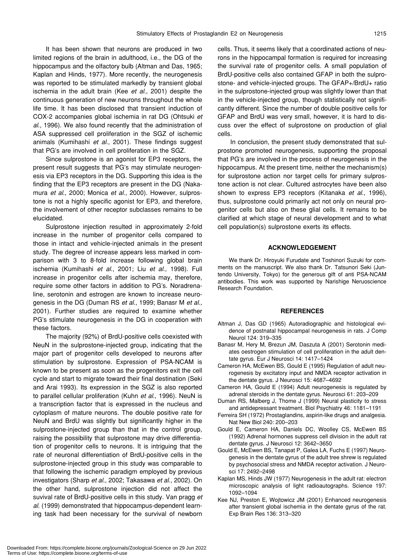It has been shown that neurons are produced in two limited regions of the brain in adulthood, i.e., the DG of the hippocampus and the olfactory bulb (Altman and Das, 1965; Kaplan and Hinds, 1977). More recently, the neurogenesis was reported to be stimulated markedly by transient global ischemia in the adult brain (Kee *et al*., 2001) despite the continuous generation of new neurons throughout the whole life time. It has been disclosed that transient induction of COX-2 accompanies global ischemia in rat DG (Ohtsuki *et al*., 1996). We also found recently that the administration of ASA suppressed cell proliferation in the SGZ of ischemic animals (Kumihashi *et al*., 2001). These findings suggest that PG's are involved in cell proliferation in the SGZ.

Since sulprostone is an agonist for EP3 receptors, the present result suggests that PG's may stimulate neurogenesis via EP3 receptors in the DG. Supporting this idea is the finding that the EP3 receptors are present in the DG (Nakamura *et al*., 2000; Monica *et al*., 2000). However, sulprostone is not a highly specific agonist for EP3, and therefore, the involvement of other receptor subclasses remains to be elucidated.

Sulprostone injection resulted in approximately 2-fold increase in the number of progenitor cells compared to those in intact and vehicle-injected animals in the present study. The degree of increase appears less marked in comparison with 3 to 8-fold increase following global brain ischemia (Kumihashi *et al*., 2001; Liu *et al*., 1998). Full increase in progenitor cells after ischemia may, therefore, require some other factors in addition to PG's. Noradrenaline, serotonin and estrogen are known to increase neurogenesis in the DG (Duman RS *et al*., 1999; Banasr M *et al*., 2001). Further studies are required to examine whether PG's stimulate neurogenesis in the DG in cooperation with these factors.

The majority (92%) of BrdU-positive cells coexisted with NeuN in the sulprostone-injected group, indicating that the major part of progenitor cells developed to neurons after stimulation by sulprostone. Expression of PSA-NCAM is known to be present as soon as the progenitors exit the cell cycle and start to migrate toward their final destination (Seki and Arai 1993). Its expression in the SGZ is also reported to parallel cellular proliferation (Kuhn *et al*., 1996). NeuN is a transcription factor that is expressed in the nucleus and cytoplasm of mature neurons. The double positive rate for NeuN and BrdU was slightly but significantly higher in the sulprostone-injected group than that in the control group, raising the possibility that sulprostone may drive differentiation of progenitor cells to neurons. It is intriguing that the rate of neuronal differentiation of BrdU-positive cells in the sulprostone-injected group in this study was comparable to that following the ischemic paradigm employed by previous investigators (Sharp *et al*., 2002; Takasawa *et al*., 2002). On the other hand, sulprostone injection did not affect the suvival rate of BrdU-positive cells in this study. Van pragg *et al*. (1999) demonstrated that hippocampus-dependent learning task had been necessary for the survival of newborn

cells. Thus, it seems likely that a coordinated actions of neurons in the hippocampal formation is required for increasing the survival rate of progenitor cells. A small population of BrdU-positive cells also contained GFAP in both the sulprostone- and vehicle-injected groups. The GFAP+/BrdU+ ratio in the sulprostone-injected group was slightly lower than that in the vehicle-injected group, though statistically not significantly different. Since the number of double positive cells for GFAP and BrdU was very small, however, it is hard to discuss over the effect of sulprostone on production of glial cells.

In conclusion, the present study demonstrated that sulprostone promoted neurogenesis, supporting the proposal that PG's are involved in the process of neurogenesis in the hippocampus. At the present time, neither the mechanism(s) for sulprostone action nor target cells for primary sulprostone action is not clear. Cultured astrocytes have been also shown to express EP3 receptors (Kitanaka *et al*., 1996), thus, sulprostone could primarily act not only on neural progenitor cells but also on these glial cells. It remains to be clarified at which stage of neural development and to what cell population(s) sulprostone exerts its effects.

# **ACKNOWLEDGEMENT**

We thank Dr. Hiroyuki Furudate and Toshinori Suzuki for comments on the manuscript. We also thank Dr. Tatsunori Seki (Juntendo University, Tokyo) for the generous gift of anti PSA-NCAM antibodies. This work was supported by Narishige Neruoscience Research Foundation.

## **REFERENCES**

- Altman J, Das GD (1965) Autoradiographic and histological evidence of postnatal hippocampal neurogenesis in rats. J Comp Neurol 124: 319–335
- Banasr M, Hery M, Brezun JM, Daszuta A (2001) Serotonin mediates oestrogen stimulation of cell proliferation in the adult dentate gyrus. Eur J Neurosci 14: 1417–1424
- Cameron HA, McEwen BS, Gould E (1995) Regulation of adult neurogenesis by excitatory input and NMDA receptor activation in the dentate gyrus. J Neurosci 15: 4687–4692
- Cameron HA, Gould E (1994) Adult neurogenesis is regulated by adrenal steroids in the dentate gyrus. Neurosci 61: 203–209
- Duman RS, Malberg J, Thome J (1999) Neural plasticity to stress and antidepressant treatment. Biol Psychiatry 46: 1181–1191
- Ferreira SH (1972) Prostaglandins, aspirin-like drugs and analgesia. Nat New Biol 240: 200–203
- Gould E, Cameron HA, Daniels DC, Woolley CS, McEwen BS (1992) Adrenal hormones suppress cell division in the adult rat dentate gyrus. J Neurosci 12: 3642–3650
- Gould E, McEwen BS, Tanapat P, Galea LA, Fuchs E (1997) Neurogenesis in the dentate gyrus of the adult tree shrew is regulated by psychosocial stress and NMDA receptor activation. J Neurosci 17: 2492–2498
- Kaplan MS, Hinds JW (1977) Neurogenesis in the adult rat: electron microscopic analysis of light radioautographs. Science 197: 1092–1094
- Kee NJ, Preston E, Wojtowicz JM (2001) Enhanced neurogenesis after transient global ischemia in the dentate gyrus of the rat. Exp Brain Res 136: 313–320